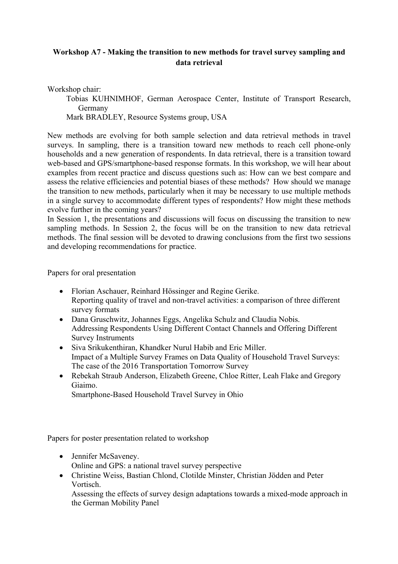## **Workshop A7 - Making the transition to new methods for travel survey sampling and data retrieval**

Workshop chair:

Tobias KUHNIMHOF, German Aerospace Center, Institute of Transport Research, Germany

Mark BRADLEY, Resource Systems group, USA

New methods are evolving for both sample selection and data retrieval methods in travel surveys. In sampling, there is a transition toward new methods to reach cell phone-only households and a new generation of respondents. In data retrieval, there is a transition toward web-based and GPS/smartphone-based response formats. In this workshop, we will hear about examples from recent practice and discuss questions such as: How can we best compare and assess the relative efficiencies and potential biases of these methods? How should we manage the transition to new methods, particularly when it may be necessary to use multiple methods in a single survey to accommodate different types of respondents? How might these methods evolve further in the coming years?

In Session 1, the presentations and discussions will focus on discussing the transition to new sampling methods. In Session 2, the focus will be on the transition to new data retrieval methods. The final session will be devoted to drawing conclusions from the first two sessions and developing recommendations for practice.

Papers for oral presentation

- Florian Aschauer, Reinhard Hössinger and Regine Gerike. Reporting quality of travel and non-travel activities: a comparison of three different survey formats
- Dana Gruschwitz, Johannes Eggs, Angelika Schulz and Claudia Nobis. Addressing Respondents Using Different Contact Channels and Offering Different Survey Instruments
- Siva Srikukenthiran, Khandker Nurul Habib and Eric Miller. Impact of a Multiple Survey Frames on Data Quality of Household Travel Surveys: The case of the 2016 Transportation Tomorrow Survey
- Rebekah Straub Anderson, Elizabeth Greene, Chloe Ritter, Leah Flake and Gregory Giaimo.

Smartphone-Based Household Travel Survey in Ohio

Papers for poster presentation related to workshop

- Jennifer McSaveney. Online and GPS: a national travel survey perspective
- Christine Weiss, Bastian Chlond, Clotilde Minster, Christian Jödden and Peter Vortisch.

Assessing the effects of survey design adaptations towards a mixed-mode approach in the German Mobility Panel